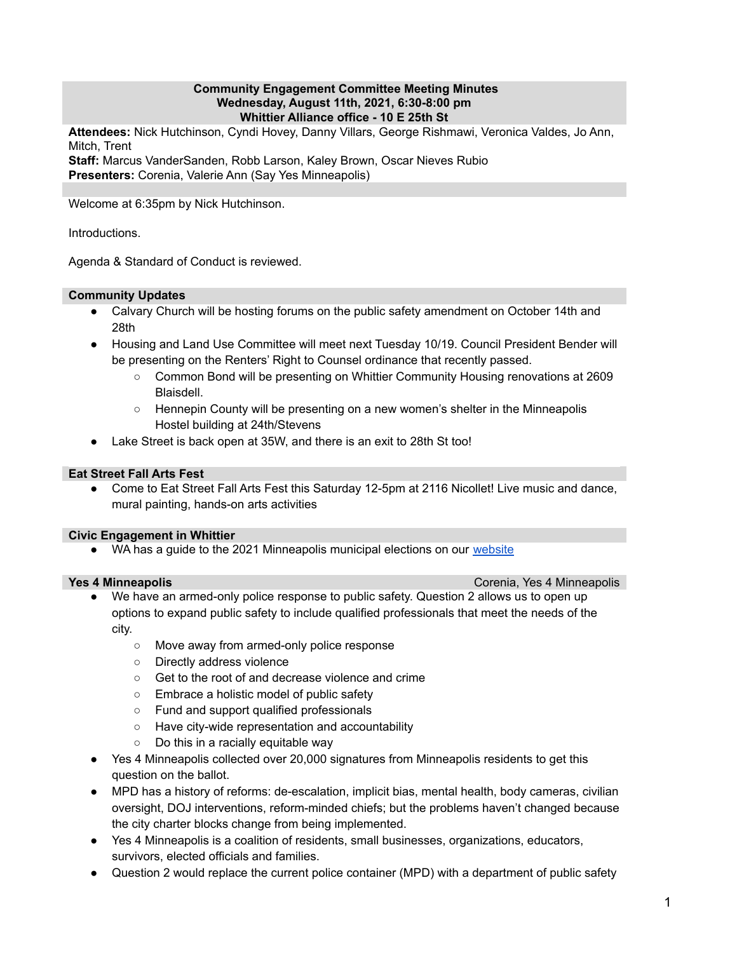## **Community Engagement Committee Meeting Minutes Wednesday, August 11th, 2021, 6:30-8:00 pm Whittier Alliance office - 10 E 25th St**

**Attendees:** Nick Hutchinson, Cyndi Hovey, Danny Villars, George Rishmawi, Veronica Valdes, Jo Ann, Mitch, Trent

**Staff:** Marcus VanderSanden, Robb Larson, Kaley Brown, Oscar Nieves Rubio **Presenters:** Corenia, Valerie Ann (Say Yes Minneapolis)

Welcome at 6:35pm by Nick Hutchinson.

Introductions.

Agenda & Standard of Conduct is reviewed.

# **Community Updates**

- Calvary Church will be hosting forums on the public safety amendment on October 14th and 28th
- Housing and Land Use Committee will meet next Tuesday 10/19. Council President Bender will be presenting on the Renters' Right to Counsel ordinance that recently passed.
	- Common Bond will be presenting on Whittier Community Housing renovations at 2609 Blaisdell.
	- Hennepin County will be presenting on a new women's shelter in the Minneapolis Hostel building at 24th/Stevens
- Lake Street is back open at 35W, and there is an exit to 28th St too!

## **Eat Street Fall Arts Fest**

● Come to Eat Street Fall Arts Fest this Saturday 12-5pm at 2116 Nicollet! Live music and dance, mural painting, hands-on arts activities

### **Civic Engagement in Whittier**

• WA has a guide to the 2021 Minneapolis municipal elections on our [website](https://www.whittieralliance.org/)

**Yes 4 Minneapolis** Corenia, Yes 4 Minneapolis

- We have an armed-only police response to public safety. Question 2 allows us to open up options to expand public safety to include qualified professionals that meet the needs of the city.
	- Move away from armed-only police response
	- Directly address violence
	- Get to the root of and decrease violence and crime
	- Embrace a holistic model of public safety
	- Fund and support qualified professionals
	- Have city-wide representation and accountability
	- Do this in a racially equitable way
- Yes 4 Minneapolis collected over 20,000 signatures from Minneapolis residents to get this question on the ballot.
- MPD has a history of reforms: de-escalation, implicit bias, mental health, body cameras, civilian oversight, DOJ interventions, reform-minded chiefs; but the problems haven't changed because the city charter blocks change from being implemented.
- Yes 4 Minneapolis is a coalition of residents, small businesses, organizations, educators, survivors, elected officials and families.
- Question 2 would replace the current police container (MPD) with a department of public safety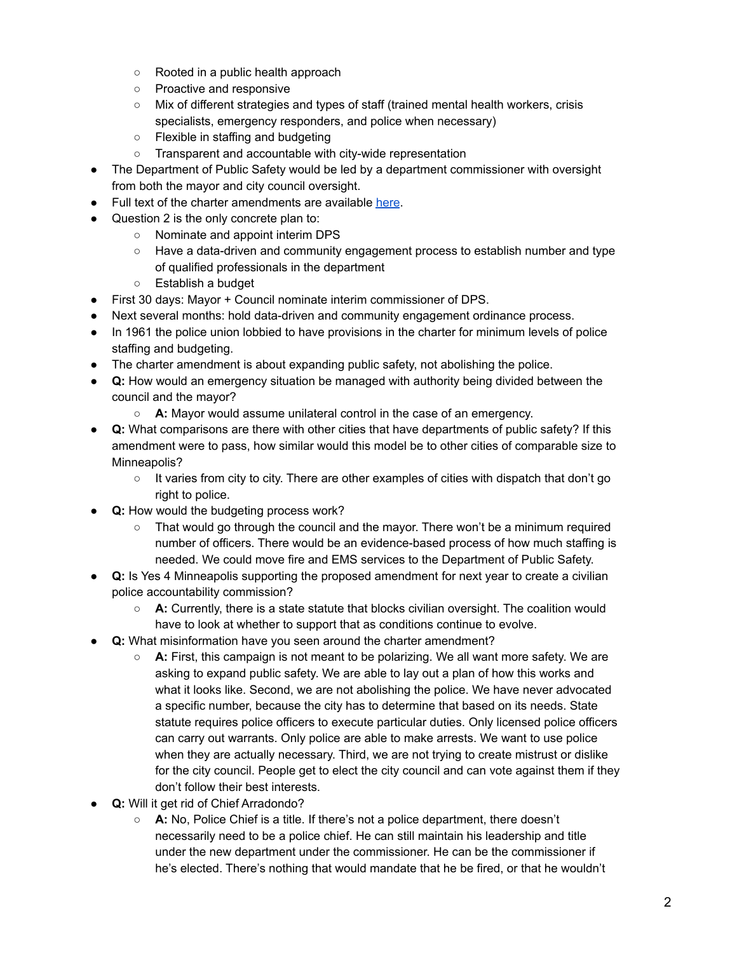- Rooted in a public health approach
- Proactive and responsive
- Mix of different strategies and types of staff (trained mental health workers, crisis specialists, emergency responders, and police when necessary)
- Flexible in staffing and budgeting
- Transparent and accountable with city-wide representation
- The Department of Public Safety would be led by a department commissioner with oversight from both the mayor and city council oversight.
- Full text of the charter amendments are available [here](https://vote.minneapolismn.gov/voters/ballot/2021-ballot-questions/).
- Question 2 is the only concrete plan to:
	- Nominate and appoint interim DPS
	- Have a data-driven and community engagement process to establish number and type of qualified professionals in the department
	- Establish a budget
- First 30 days: Mayor + Council nominate interim commissioner of DPS.
- Next several months: hold data-driven and community engagement ordinance process.
- In 1961 the police union lobbied to have provisions in the charter for minimum levels of police staffing and budgeting.
- The charter amendment is about expanding public safety, not abolishing the police.
- **Q:** How would an emergency situation be managed with authority being divided between the council and the mayor?
	- **A:** Mayor would assume unilateral control in the case of an emergency.
- **Q:** What comparisons are there with other cities that have departments of public safety? If this amendment were to pass, how similar would this model be to other cities of comparable size to Minneapolis?
	- It varies from city to city. There are other examples of cities with dispatch that don't go right to police.
- **● Q:** How would the budgeting process work?
	- $\circ$  That would go through the council and the mayor. There won't be a minimum required number of officers. There would be an evidence-based process of how much staffing is needed. We could move fire and EMS services to the Department of Public Safety.
- **● Q:** Is Yes 4 Minneapolis supporting the proposed amendment for next year to create a civilian police accountability commission?
	- **○ A:** Currently, there is a state statute that blocks civilian oversight. The coalition would have to look at whether to support that as conditions continue to evolve.
- **Q:** What misinformation have you seen around the charter amendment?
	- **A:** First, this campaign is not meant to be polarizing. We all want more safety. We are asking to expand public safety. We are able to lay out a plan of how this works and what it looks like. Second, we are not abolishing the police. We have never advocated a specific number, because the city has to determine that based on its needs. State statute requires police officers to execute particular duties. Only licensed police officers can carry out warrants. Only police are able to make arrests. We want to use police when they are actually necessary. Third, we are not trying to create mistrust or dislike for the city council. People get to elect the city council and can vote against them if they don't follow their best interests.
- **Q:** Will it get rid of Chief Arradondo?
	- **○ A:** No, Police Chief is a title. If there's not a police department, there doesn't necessarily need to be a police chief. He can still maintain his leadership and title under the new department under the commissioner. He can be the commissioner if he's elected. There's nothing that would mandate that he be fired, or that he wouldn't